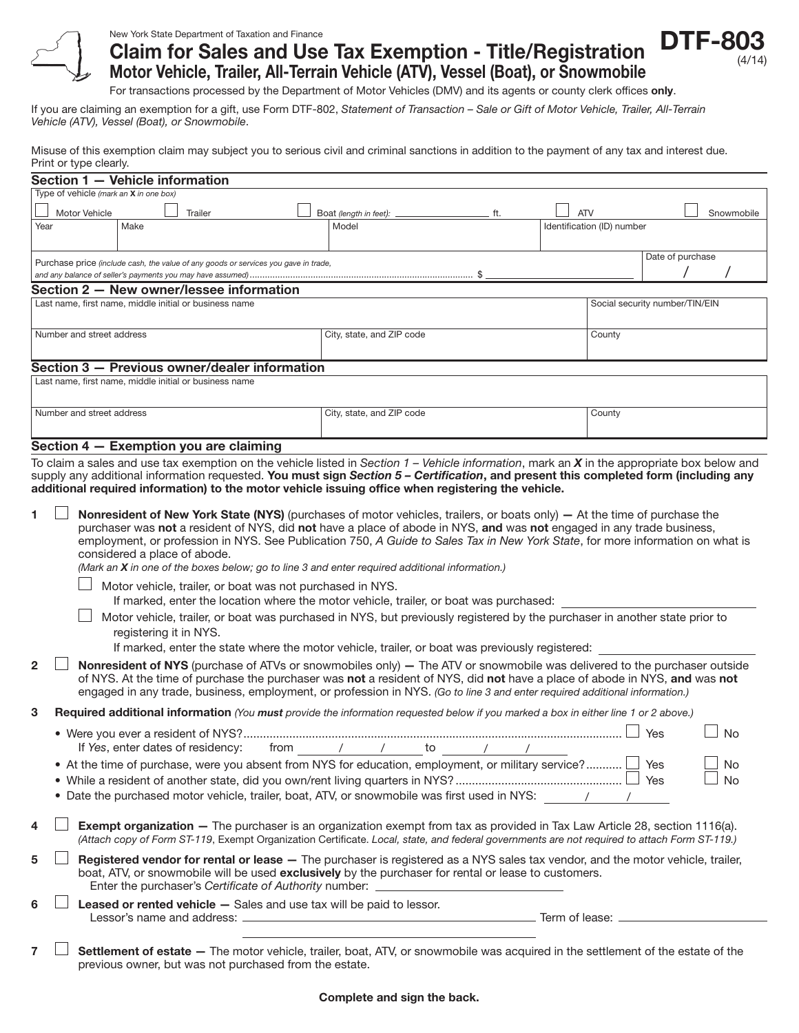

## New York State Department of Taxation and Finance Claim for Sales and Use Tax Exemption - Title/Registration Motor Vehicle, Trailer, All-Terrain Vehicle (ATV), Vessel (Boat), or Snowmobile



For transactions processed by the Department of Motor Vehicles (DMV) and its agents or county clerk offices only.

If you are claiming an exemption for a gift, use Form DTF-802, *Statement of Transaction – Sale or Gift of Motor Vehicle, Trailer, All-Terrain Vehicle (ATV), Vessel (Boat), or Snowmobile*.

Misuse of this exemption claim may subject you to serious civil and criminal sanctions in addition to the payment of any tax and interest due. Print or type clearly.

|                                                                           |  | i ilik vi typo vlodily                                                                                                                                                                                                                 |                                                                                                                                                                                                                                                        |      |                                                                                                                                                                                                                                    |                                              |  |                          |            |                                |                  |  |            |
|---------------------------------------------------------------------------|--|----------------------------------------------------------------------------------------------------------------------------------------------------------------------------------------------------------------------------------------|--------------------------------------------------------------------------------------------------------------------------------------------------------------------------------------------------------------------------------------------------------|------|------------------------------------------------------------------------------------------------------------------------------------------------------------------------------------------------------------------------------------|----------------------------------------------|--|--------------------------|------------|--------------------------------|------------------|--|------------|
|                                                                           |  | Section 1 - Vehicle information                                                                                                                                                                                                        |                                                                                                                                                                                                                                                        |      |                                                                                                                                                                                                                                    |                                              |  |                          |            |                                |                  |  |            |
|                                                                           |  | Type of vehicle (mark an X in one box)                                                                                                                                                                                                 |                                                                                                                                                                                                                                                        |      |                                                                                                                                                                                                                                    |                                              |  |                          |            |                                |                  |  |            |
|                                                                           |  | Motor Vehicle                                                                                                                                                                                                                          | Trailer                                                                                                                                                                                                                                                |      | Boat (length in feet):                                                                                                                                                                                                             |                                              |  | ft.                      | <b>ATV</b> |                                |                  |  | Snowmobile |
| Year                                                                      |  | Make                                                                                                                                                                                                                                   |                                                                                                                                                                                                                                                        |      | Model                                                                                                                                                                                                                              |                                              |  |                          |            | Identification (ID) number     |                  |  |            |
|                                                                           |  |                                                                                                                                                                                                                                        |                                                                                                                                                                                                                                                        |      |                                                                                                                                                                                                                                    |                                              |  |                          |            |                                |                  |  |            |
|                                                                           |  |                                                                                                                                                                                                                                        |                                                                                                                                                                                                                                                        |      |                                                                                                                                                                                                                                    |                                              |  |                          |            |                                | Date of purchase |  |            |
|                                                                           |  |                                                                                                                                                                                                                                        | Purchase price (include cash, the value of any goods or services you gave in trade,                                                                                                                                                                    |      |                                                                                                                                                                                                                                    |                                              |  |                          |            |                                |                  |  |            |
|                                                                           |  |                                                                                                                                                                                                                                        |                                                                                                                                                                                                                                                        |      |                                                                                                                                                                                                                                    |                                              |  |                          |            |                                |                  |  |            |
|                                                                           |  |                                                                                                                                                                                                                                        | Section 2 - New owner/lessee information                                                                                                                                                                                                               |      |                                                                                                                                                                                                                                    |                                              |  |                          |            |                                |                  |  |            |
|                                                                           |  |                                                                                                                                                                                                                                        | Last name, first name, middle initial or business name                                                                                                                                                                                                 |      |                                                                                                                                                                                                                                    |                                              |  |                          |            | Social security number/TIN/EIN |                  |  |            |
|                                                                           |  |                                                                                                                                                                                                                                        |                                                                                                                                                                                                                                                        |      |                                                                                                                                                                                                                                    |                                              |  |                          |            |                                |                  |  |            |
|                                                                           |  | Number and street address                                                                                                                                                                                                              |                                                                                                                                                                                                                                                        |      |                                                                                                                                                                                                                                    | City, state, and ZIP code                    |  |                          |            | County                         |                  |  |            |
|                                                                           |  |                                                                                                                                                                                                                                        |                                                                                                                                                                                                                                                        |      |                                                                                                                                                                                                                                    |                                              |  |                          |            |                                |                  |  |            |
|                                                                           |  |                                                                                                                                                                                                                                        | Section 3 - Previous owner/dealer information                                                                                                                                                                                                          |      |                                                                                                                                                                                                                                    |                                              |  |                          |            |                                |                  |  |            |
|                                                                           |  |                                                                                                                                                                                                                                        | Last name, first name, middle initial or business name                                                                                                                                                                                                 |      |                                                                                                                                                                                                                                    |                                              |  |                          |            |                                |                  |  |            |
|                                                                           |  |                                                                                                                                                                                                                                        |                                                                                                                                                                                                                                                        |      |                                                                                                                                                                                                                                    |                                              |  |                          |            |                                |                  |  |            |
|                                                                           |  | Number and street address                                                                                                                                                                                                              |                                                                                                                                                                                                                                                        |      |                                                                                                                                                                                                                                    | City, state, and ZIP code                    |  |                          |            | County                         |                  |  |            |
|                                                                           |  |                                                                                                                                                                                                                                        |                                                                                                                                                                                                                                                        |      |                                                                                                                                                                                                                                    |                                              |  |                          |            |                                |                  |  |            |
|                                                                           |  |                                                                                                                                                                                                                                        |                                                                                                                                                                                                                                                        |      |                                                                                                                                                                                                                                    |                                              |  |                          |            |                                |                  |  |            |
|                                                                           |  |                                                                                                                                                                                                                                        | Section 4 - Exemption you are claiming                                                                                                                                                                                                                 |      |                                                                                                                                                                                                                                    |                                              |  |                          |            |                                |                  |  |            |
|                                                                           |  |                                                                                                                                                                                                                                        | To claim a sales and use tax exemption on the vehicle listed in Section $1$ – Vehicle information, mark an X in the appropriate box below and                                                                                                          |      |                                                                                                                                                                                                                                    |                                              |  |                          |            |                                |                  |  |            |
|                                                                           |  |                                                                                                                                                                                                                                        | supply any additional information requested. You must sign Section 5 - Certification, and present this completed form (including any                                                                                                                   |      |                                                                                                                                                                                                                                    |                                              |  |                          |            |                                |                  |  |            |
|                                                                           |  |                                                                                                                                                                                                                                        | additional required information) to the motor vehicle issuing office when registering the vehicle.                                                                                                                                                     |      |                                                                                                                                                                                                                                    |                                              |  |                          |            |                                |                  |  |            |
|                                                                           |  |                                                                                                                                                                                                                                        |                                                                                                                                                                                                                                                        |      |                                                                                                                                                                                                                                    |                                              |  |                          |            |                                |                  |  |            |
| 1.                                                                        |  |                                                                                                                                                                                                                                        | <b>Nonresident of New York State (NYS)</b> (purchases of motor vehicles, trailers, or boats only) – At the time of purchase the                                                                                                                        |      |                                                                                                                                                                                                                                    |                                              |  |                          |            |                                |                  |  |            |
|                                                                           |  |                                                                                                                                                                                                                                        | purchaser was not a resident of NYS, did not have a place of abode in NYS, and was not engaged in any trade business,                                                                                                                                  |      |                                                                                                                                                                                                                                    |                                              |  |                          |            |                                |                  |  |            |
|                                                                           |  |                                                                                                                                                                                                                                        | employment, or profession in NYS. See Publication 750, A Guide to Sales Tax in New York State, for more information on what is                                                                                                                         |      |                                                                                                                                                                                                                                    |                                              |  |                          |            |                                |                  |  |            |
|                                                                           |  | considered a place of abode.                                                                                                                                                                                                           |                                                                                                                                                                                                                                                        |      |                                                                                                                                                                                                                                    |                                              |  |                          |            |                                |                  |  |            |
|                                                                           |  |                                                                                                                                                                                                                                        | (Mark an X in one of the boxes below; go to line 3 and enter required additional information.)                                                                                                                                                         |      |                                                                                                                                                                                                                                    |                                              |  |                          |            |                                |                  |  |            |
|                                                                           |  |                                                                                                                                                                                                                                        | Motor vehicle, trailer, or boat was not purchased in NYS.                                                                                                                                                                                              |      |                                                                                                                                                                                                                                    |                                              |  |                          |            |                                |                  |  |            |
|                                                                           |  |                                                                                                                                                                                                                                        | If marked, enter the location where the motor vehicle, trailer, or boat was purchased:                                                                                                                                                                 |      |                                                                                                                                                                                                                                    |                                              |  |                          |            |                                |                  |  |            |
|                                                                           |  |                                                                                                                                                                                                                                        | Motor vehicle, trailer, or boat was purchased in NYS, but previously registered by the purchaser in another state prior to                                                                                                                             |      |                                                                                                                                                                                                                                    |                                              |  |                          |            |                                |                  |  |            |
|                                                                           |  |                                                                                                                                                                                                                                        | registering it in NYS.                                                                                                                                                                                                                                 |      |                                                                                                                                                                                                                                    |                                              |  |                          |            |                                |                  |  |            |
|                                                                           |  |                                                                                                                                                                                                                                        | If marked, enter the state where the motor vehicle, trailer, or boat was previously registered:                                                                                                                                                        |      |                                                                                                                                                                                                                                    |                                              |  |                          |            |                                |                  |  |            |
|                                                                           |  |                                                                                                                                                                                                                                        |                                                                                                                                                                                                                                                        |      |                                                                                                                                                                                                                                    |                                              |  |                          |            |                                |                  |  |            |
| 2                                                                         |  |                                                                                                                                                                                                                                        | Nonresident of NYS (purchase of ATVs or snowmobiles only) - The ATV or snowmobile was delivered to the purchaser outside<br>of NYS. At the time of purchase the purchaser was not a resident of NYS, did not have a place of abode in NYS, and was not |      |                                                                                                                                                                                                                                    |                                              |  |                          |            |                                |                  |  |            |
|                                                                           |  |                                                                                                                                                                                                                                        | engaged in any trade, business, employment, or profession in NYS. (Go to line 3 and enter required additional information.)                                                                                                                            |      |                                                                                                                                                                                                                                    |                                              |  |                          |            |                                |                  |  |            |
|                                                                           |  |                                                                                                                                                                                                                                        |                                                                                                                                                                                                                                                        |      |                                                                                                                                                                                                                                    |                                              |  |                          |            |                                |                  |  |            |
| 3                                                                         |  |                                                                                                                                                                                                                                        | Required additional information (You must provide the information requested below if you marked a box in either line 1 or 2 above.)                                                                                                                    |      |                                                                                                                                                                                                                                    |                                              |  |                          |            |                                |                  |  |            |
|                                                                           |  |                                                                                                                                                                                                                                        |                                                                                                                                                                                                                                                        |      |                                                                                                                                                                                                                                    |                                              |  |                          |            |                                | Yes              |  | <b>No</b>  |
|                                                                           |  |                                                                                                                                                                                                                                        | If Yes, enter dates of residency:                                                                                                                                                                                                                      | from | $\frac{1}{\sqrt{2}}$                                                                                                                                                                                                               | $\overline{\phantom{0}}$ to<br>$\frac{1}{2}$ |  | $\overline{\phantom{a}}$ |            |                                |                  |  |            |
|                                                                           |  |                                                                                                                                                                                                                                        |                                                                                                                                                                                                                                                        |      |                                                                                                                                                                                                                                    |                                              |  |                          |            |                                |                  |  |            |
|                                                                           |  |                                                                                                                                                                                                                                        | • At the time of purchase, were you absent from NYS for education, employment, or military service? $\Box$ Yes                                                                                                                                         |      |                                                                                                                                                                                                                                    |                                              |  |                          |            |                                |                  |  | No         |
|                                                                           |  |                                                                                                                                                                                                                                        |                                                                                                                                                                                                                                                        |      |                                                                                                                                                                                                                                    |                                              |  |                          |            |                                |                  |  | <b>No</b>  |
|                                                                           |  |                                                                                                                                                                                                                                        | • Date the purchased motor vehicle, trailer, boat, ATV, or snowmobile was first used in NYS: / / /                                                                                                                                                     |      |                                                                                                                                                                                                                                    |                                              |  |                          |            |                                |                  |  |            |
|                                                                           |  |                                                                                                                                                                                                                                        |                                                                                                                                                                                                                                                        |      |                                                                                                                                                                                                                                    |                                              |  |                          |            |                                |                  |  |            |
| 4                                                                         |  |                                                                                                                                                                                                                                        | <b>Exempt organization</b> – The purchaser is an organization exempt from tax as provided in Tax Law Article 28, section 1116(a).                                                                                                                      |      |                                                                                                                                                                                                                                    |                                              |  |                          |            |                                |                  |  |            |
|                                                                           |  |                                                                                                                                                                                                                                        | (Attach copy of Form ST-119, Exempt Organization Certificate. Local, state, and federal governments are not required to attach Form ST-119.)                                                                                                           |      |                                                                                                                                                                                                                                    |                                              |  |                          |            |                                |                  |  |            |
| 5                                                                         |  |                                                                                                                                                                                                                                        |                                                                                                                                                                                                                                                        |      |                                                                                                                                                                                                                                    |                                              |  |                          |            |                                |                  |  |            |
|                                                                           |  | Registered vendor for rental or lease - The purchaser is registered as a NYS sales tax vendor, and the motor vehicle, trailer,<br>boat, ATV, or snowmobile will be used exclusively by the purchaser for rental or lease to customers. |                                                                                                                                                                                                                                                        |      |                                                                                                                                                                                                                                    |                                              |  |                          |            |                                |                  |  |            |
|                                                                           |  |                                                                                                                                                                                                                                        | Enter the purchaser's Certificate of Authority number: _________________________                                                                                                                                                                       |      |                                                                                                                                                                                                                                    |                                              |  |                          |            |                                |                  |  |            |
|                                                                           |  |                                                                                                                                                                                                                                        |                                                                                                                                                                                                                                                        |      |                                                                                                                                                                                                                                    |                                              |  |                          |            |                                |                  |  |            |
| Leased or rented vehicle - Sales and use tax will be paid to lessor.<br>6 |  |                                                                                                                                                                                                                                        |                                                                                                                                                                                                                                                        |      | <b>Example 2018 Contract Contract Contract Contract Contract Contract Contract Contract Contract Contract Contract Contract Contract Contract Contract Contract Contract Contract Contract Contract Contract Contract Contract</b> |                                              |  |                          |            |                                |                  |  |            |
|                                                                           |  |                                                                                                                                                                                                                                        | Lessor's name and address: _                                                                                                                                                                                                                           |      |                                                                                                                                                                                                                                    |                                              |  |                          |            |                                |                  |  |            |
|                                                                           |  |                                                                                                                                                                                                                                        |                                                                                                                                                                                                                                                        |      |                                                                                                                                                                                                                                    |                                              |  |                          |            |                                |                  |  |            |
| 7                                                                         |  |                                                                                                                                                                                                                                        | Settlement of estate - The motor vehicle, trailer, boat, ATV, or snowmobile was acquired in the settlement of the estate of the                                                                                                                        |      |                                                                                                                                                                                                                                    |                                              |  |                          |            |                                |                  |  |            |

previous owner, but was not purchased from the estate.